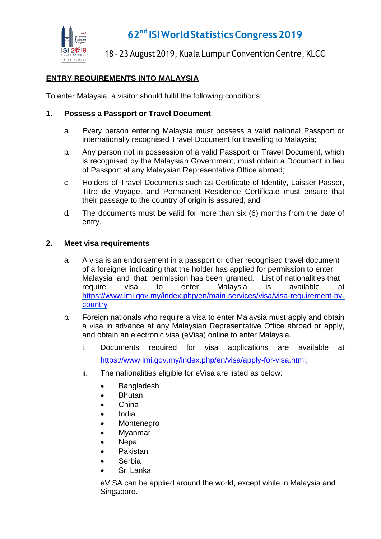

## **62nd ISIWorldStatisticsCongress2019**

## 18 – 23 August 2019, Kuala Lumpur Convention Centre, KLCC

### **ENTRY REQUIREMENTS INTO MALAYSIA**

To enter Malaysia, a visitor should fulfil the following conditions:

#### **1. Possess a Passport or Travel Document**

- a. Every person entering Malaysia must possess a valid national Passport or internationally recognised Travel Document for travelling to Malaysia;
- b. Any person not in possession of a valid Passport or Travel Document, which is recognised by the Malaysian Government, must obtain a Document in lieu of Passport at any Malaysian Representative Office abroad;
- c. Holders of Travel Documents such as Certificate of Identity, Laisser Passer, Titre de Voyage, and Permanent Residence Certificate must ensure that their passage to the country of origin is assured; and
- d. The documents must be valid for more than six (6) months from the date of entry.

#### **2. Meet visa requirements**

- a. A visa is an endorsement in a passport or other recognised travel document of a foreigner indicating that the holder has applied for permission to enter Malaysia and that permission has been granted. List of nationalities that require visa to enter Malaysia is available at [https://www.imi.gov.my/index.php/en/main-services/visa/visa-requirement-by](https://www.imi.gov.my/index.php/en/main-services/visa/visa-requirement-by-country)[country](https://www.imi.gov.my/index.php/en/main-services/visa/visa-requirement-by-country)
- b. Foreign nationals who require a visa to enter Malaysia must apply and obtain a visa in advance at any Malaysian Representative Office abroad or apply, and obtain an electronic visa (eVisa) online to enter Malaysia.
	- i. Documents required for visa applications are available at [https://www.imi.gov.my/index.php/en/visa/apply-for-visa.html;](https://www.imi.gov.my/index.php/en/visa/apply-for-visa.html)
	- ii. The nationalities eligible for eVisa are listed as below:
		- Bangladesh
		- Bhutan
		- China
		- India
		- Montenegro
		- Myanmar
		- Nepal
		- Pakistan
		- Serbia
		- Sri Lanka

eVISA can be applied around the world, except while in Malaysia and Singapore.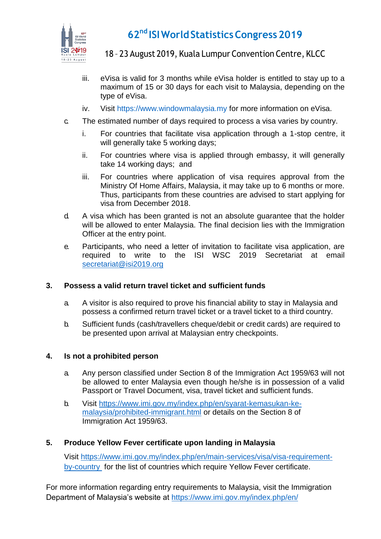

# **62nd ISIWorldStatisticsCongress2019**

18 – 23 August 2019, Kuala Lumpur Convention Centre, KLCC

- iii. eVisa is valid for 3 months while eVisa holder is entitled to stay up to a maximum of 15 or 30 days for each visit to Malaysia, depending on the type of eVisa.
- iv. Visit [https://www.windowmalaysia.my f](https://www.windowmalaysia.my/index)or more information on eVisa.
- c. The estimated number of days required to process a visa varies by country.
	- i. For countries that facilitate visa application through a 1-stop centre, it will generally take 5 working days;
	- ii. For countries where visa is applied through embassy, it will generally take 14 working days; and
	- iii. For countries where application of visa requires approval from the Ministry Of Home Affairs, Malaysia, it may take up to 6 months or more. Thus, participants from these countries are advised to start applying for visa from December 2018.
- d. A visa which has been granted is not an absolute guarantee that the holder will be allowed to enter Malaysia. The final decision lies with the Immigration Officer at the entry point.
- e. Participants, who need a letter of invitation to facilitate visa application, are required to write to the ISI WSC 2019 Secretariat at email [secretariat@isi2019.org](mailto:secretariat@isi2019.org)

#### **3. Possess a valid return travel ticket and sufficient funds**

- a. A visitor is also required to prove his financial ability to stay in Malaysia and possess a confirmed return travel ticket or a travel ticket to a third country.
- b. Sufficient funds (cash/travellers cheque/debit or credit cards) are required to be presented upon arrival at Malaysian entry checkpoints.

#### **4. Is not a prohibited person**

- a. Any person classified under Section 8 of the Immigration Act 1959/63 will not be allowed to enter Malaysia even though he/she is in possession of a valid Passport or Travel Document, visa, travel ticket and sufficient funds.
- b. Visit [https://www.imi.gov.my/index.php/en/syarat-kemasukan-ke](https://www.imi.gov.my/index.php/en/syarat-kemasukan-ke-malaysia/prohibited-immigrant.html)[malaysia/prohibited-immigrant.html](https://www.imi.gov.my/index.php/en/syarat-kemasukan-ke-malaysia/prohibited-immigrant.html) or details on the Section 8 of Immigration Act 1959/63.

#### **5. Produce Yellow Fever certificate upon landing in Malaysia**

Visit [https://www.imi.gov.my/index.php/en/main-services/visa/visa-requirement](https://www.imi.gov.my/index.php/en/main-services/visa/visa-requirement-by-country)[by-country](https://www.imi.gov.my/index.php/en/main-services/visa/visa-requirement-by-country) for the list of countries which require Yellow Fever certificate.

For more information regarding entry requirements to Malaysia, visit the Immigration Department of Malaysia's website at<https://www.imi.gov.my/index.php/en/>